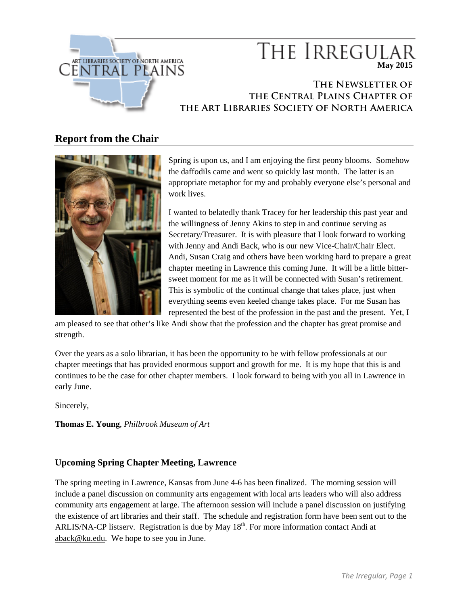

# THE IRREGULA **May 2015**

## **The Newsletter of the Central Plains Chapter of the Art Libraries Society of North America**

## **Report from the Chair**



Spring is upon us, and I am enjoying the first peony blooms. Somehow the daffodils came and went so quickly last month. The latter is an appropriate metaphor for my and probably everyone else's personal and work lives.

I wanted to belatedly thank Tracey for her leadership this past year and the willingness of Jenny Akins to step in and continue serving as Secretary/Treasurer. It is with pleasure that I look forward to working with Jenny and Andi Back, who is our new Vice-Chair/Chair Elect. Andi, Susan Craig and others have been working hard to prepare a great chapter meeting in Lawrence this coming June. It will be a little bittersweet moment for me as it will be connected with Susan's retirement. This is symbolic of the continual change that takes place, just when everything seems even keeled change takes place. For me Susan has represented the best of the profession in the past and the present. Yet, I

am pleased to see that other's like Andi show that the profession and the chapter has great promise and strength.

Over the years as a solo librarian, it has been the opportunity to be with fellow professionals at our chapter meetings that has provided enormous support and growth for me. It is my hope that this is and continues to be the case for other chapter members. I look forward to being with you all in Lawrence in early June.

Sincerely,

**Thomas E. Young**, *Philbrook Museum of Art*

## **Upcoming Spring Chapter Meeting, Lawrence**

The spring meeting in Lawrence, Kansas from June 4-6 has been finalized. The morning session will include a panel discussion on community arts engagement with local arts leaders who will also address community arts engagement at large. The afternoon session will include a panel discussion on justifying the existence of art libraries and their staff. The schedule and registration form have been sent out to the ARLIS/NA-CP listserv. Registration is due by May  $18<sup>th</sup>$ . For more information contact Andi at [aback@ku.edu.](mailto:aback@ku.edu) We hope to see you in June.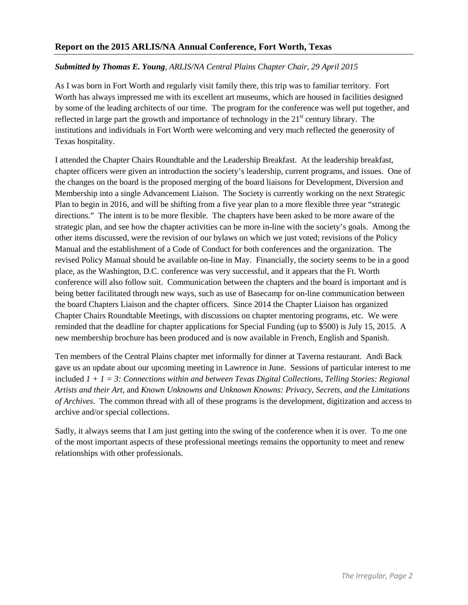## *Submitted by Thomas E. Young, ARLIS/NA Central Plains Chapter Chair, 29 April 2015*

As I was born in Fort Worth and regularly visit family there, this trip was to familiar territory. Fort Worth has always impressed me with its excellent art museums, which are housed in facilities designed by some of the leading architects of our time. The program for the conference was well put together, and reflected in large part the growth and importance of technology in the  $21<sup>st</sup>$  century library. The institutions and individuals in Fort Worth were welcoming and very much reflected the generosity of Texas hospitality.

I attended the Chapter Chairs Roundtable and the Leadership Breakfast. At the leadership breakfast, chapter officers were given an introduction the society's leadership, current programs, and issues. One of the changes on the board is the proposed merging of the board liaisons for Development, Diversion and Membership into a single Advancement Liaison. The Society is currently working on the next Strategic Plan to begin in 2016, and will be shifting from a five year plan to a more flexible three year "strategic directions." The intent is to be more flexible. The chapters have been asked to be more aware of the strategic plan, and see how the chapter activities can be more in-line with the society's goals. Among the other items discussed, were the revision of our bylaws on which we just voted; revisions of the Policy Manual and the establishment of a Code of Conduct for both conferences and the organization. The revised Policy Manual should be available on-line in May. Financially, the society seems to be in a good place, as the Washington, D.C. conference was very successful, and it appears that the Ft. Worth conference will also follow suit. Communication between the chapters and the board is important and is being better facilitated through new ways, such as use of Basecamp for on-line communication between the board Chapters Liaison and the chapter officers. Since 2014 the Chapter Liaison has organized Chapter Chairs Roundtable Meetings, with discussions on chapter mentoring programs, etc. We were reminded that the deadline for chapter applications for Special Funding (up to \$500) is July 15, 2015. A new membership brochure has been produced and is now available in French, English and Spanish.

Ten members of the Central Plains chapter met informally for dinner at Taverna restaurant. Andi Back gave us an update about our upcoming meeting in Lawrence in June. Sessions of particular interest to me included *1 + 1 = 3: Connections within and between Texas Digital Collections*, *Telling Stories: Regional Artists and their Art*, and *Known Unknowns and Unknown Knowns: Privacy, Secrets, and the Limitations of Archives*. The common thread with all of these programs is the development, digitization and access to archive and/or special collections.

Sadly, it always seems that I am just getting into the swing of the conference when it is over. To me one of the most important aspects of these professional meetings remains the opportunity to meet and renew relationships with other professionals.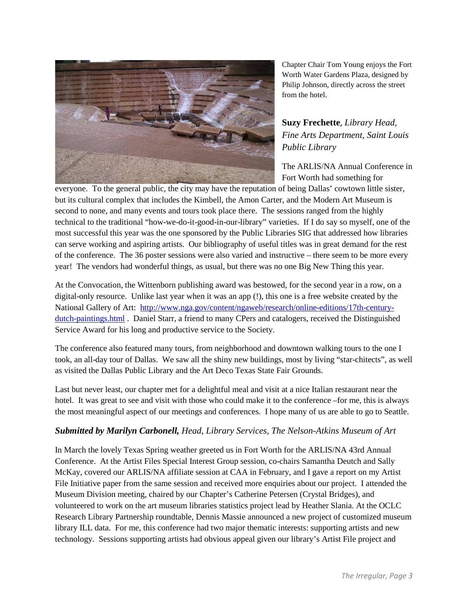

Chapter Chair Tom Young enjoys the Fort Worth Water Gardens Plaza, designed by Philip Johnson, directly across the street from the hotel.

## **Suzy Frechette**, *Library Head, Fine Arts Department*, *Saint Louis Public Library*

The ARLIS/NA Annual Conference in Fort Worth had something for

everyone. To the general public, the city may have the reputation of being Dallas' cowtown little sister, but its cultural complex that includes the Kimbell, the Amon Carter, and the Modern Art Museum is second to none, and many events and tours took place there. The sessions ranged from the highly technical to the traditional "how-we-do-it-good-in-our-library" varieties. If I do say so myself, one of the most successful this year was the one sponsored by the Public Libraries SIG that addressed how libraries can serve working and aspiring artists. Our bibliography of useful titles was in great demand for the rest of the conference. The 36 poster sessions were also varied and instructive – there seem to be more every year! The vendors had wonderful things, as usual, but there was no one Big New Thing this year.

At the Convocation, the Wittenborn publishing award was bestowed, for the second year in a row, on a digital-only resource. Unlike last year when it was an app (!), this one is a free website created by the National Gallery of Art: [http://www.nga.gov/content/ngaweb/research/online-editions/17th-century](http://www.nga.gov/content/ngaweb/research/online-editions/17th-century-dutch-paintings.html)[dutch-paintings.html](http://www.nga.gov/content/ngaweb/research/online-editions/17th-century-dutch-paintings.html) . Daniel Starr, a friend to many CPers and catalogers, received the Distinguished Service Award for his long and productive service to the Society.

The conference also featured many tours, from neighborhood and downtown walking tours to the one I took, an all-day tour of Dallas. We saw all the shiny new buildings, most by living "star-chitects", as well as visited the Dallas Public Library and the Art Deco Texas State Fair Grounds.

Last but never least, our chapter met for a delightful meal and visit at a nice Italian restaurant near the hotel. It was great to see and visit with those who could make it to the conference –for me, this is always the most meaningful aspect of our meetings and conferences. I hope many of us are able to go to Seattle.

## *Submitted by Marilyn Carbonell, Head, Library Services, The Nelson-Atkins Museum of Art*

In March the lovely Texas Spring weather greeted us in Fort Worth for the ARLIS/NA 43rd Annual Conference. At the Artist Files Special Interest Group session, co-chairs Samantha Deutch and Sally McKay, covered our ARLIS/NA affiliate session at CAA in February, and I gave a report on my Artist File Initiative paper from the same session and received more enquiries about our project. I attended the Museum Division meeting, chaired by our Chapter's Catherine Petersen (Crystal Bridges), and volunteered to work on the art museum libraries statistics project lead by Heather Slania. At the OCLC Research Library Partnership roundtable, Dennis Massie announced a new project of customized museum library ILL data. For me, this conference had two major thematic interests: supporting artists and new technology. Sessions supporting artists had obvious appeal given our library's Artist File project and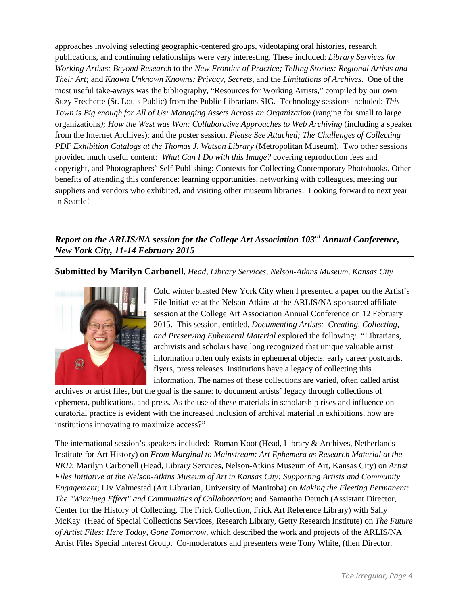approaches involving selecting geographic-centered groups, videotaping oral histories, research publications, and continuing relationships were very interesting. These included: *Library Services for Working Artists: Beyond Research* to the *New Frontier of Practice; Telling Stories: Regional Artists and Their Art;* and *Known Unknown Knowns: Privacy, Secrets*, and the *Limitations of Archives*. One of the most useful take-aways was the bibliography, "Resources for Working Artists," compiled by our own Suzy Frechette (St. Louis Public) from the Public Librarians SIG. Technology sessions included: *This Town is Big enough for All of Us: Managing Assets Across an Organization* (ranging for small to large organizations*); How the West was Won: Collaborative Approaches to Web Archiving* (including a speaker from the Internet Archives); and the poster session, *Please See Attached; The Challenges of Collecting PDF Exhibition Catalogs at the Thomas J. Watson Library* (Metropolitan Museum). Two other sessions provided much useful content: *What Can I Do with this Image?* covering reproduction fees and copyright, and Photographers' Self-Publishing: Contexts for Collecting Contemporary Photobooks. Other benefits of attending this conference: learning opportunities, networking with colleagues, meeting our suppliers and vendors who exhibited, and visiting other museum libraries! Looking forward to next year in Seattle!

## *Report on the ARLIS/NA session for the College Art Association 103rd Annual Conference, New York City, 11-14 February 2015*

**Submitted by Marilyn Carbonell**, *Head, Library Services, Nelson-Atkins Museum, Kansas City*



Cold winter blasted New York City when I presented a paper on the Artist's File Initiative at the Nelson-Atkins at the ARLIS/NA sponsored affiliate session at the College Art Association Annual Conference on 12 February 2015. This session, entitled, *Documenting Artists: Creating, Collecting, and Preserving Ephemeral Material* explored the following: "Librarians, archivists and scholars have long recognized that unique valuable artist information often only exists in ephemeral objects: early career postcards, flyers, press releases. Institutions have a legacy of collecting this information. The names of these collections are varied, often called artist

archives or artist files, but the goal is the same: to document artists' legacy through collections of ephemera, publications, and press. As the use of these materials in scholarship rises and influence on curatorial practice is evident with the increased inclusion of archival material in exhibitions, how are institutions innovating to maximize access?"

The international session's speakers included: Roman Koot (Head, Library & Archives, Netherlands Institute for Art History) on *From Marginal to Mainstream: Art Ephemera as Research Material at the RKD*; Marilyn Carbonell (Head, Library Services, Nelson-Atkins Museum of Art, Kansas City) on *Artist Files Initiative at the Nelson-Atkins Museum of Art in Kansas City: Supporting Artists and Community Engagement*; Liv Valmestad (Art Librarian, University of Manitoba) on *Making the Fleeting Permanent: The "Winnipeg Effect" and Communities of Collaboration*; and Samantha Deutch (Assistant Director, Center for the History of Collecting, The Frick Collection, Frick Art Reference Library) with Sally McKay (Head of Special Collections Services, Research Library, Getty Research Institute) on *The Future of Artist Files: Here Today, Gone Tomorrow*, which described the work and projects of the ARLIS/NA Artist Files Special Interest Group. Co-moderators and presenters were Tony White, (then Director,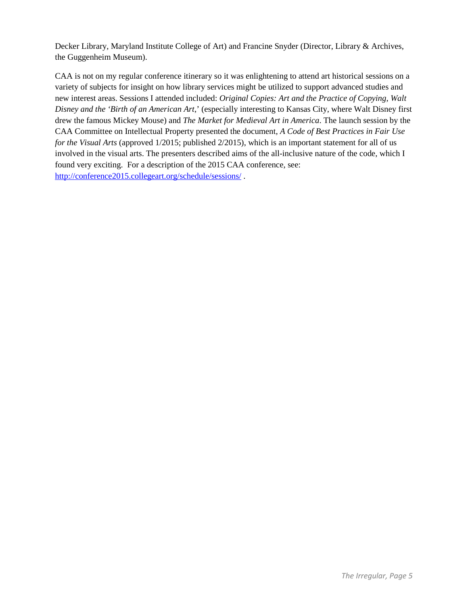Decker Library, Maryland Institute College of Art) and Francine Snyder (Director, Library & Archives, the Guggenheim Museum).

CAA is not on my regular conference itinerary so it was enlightening to attend art historical sessions on a variety of subjects for insight on how library services might be utilized to support advanced studies and new interest areas. Sessions I attended included: *Original Copies: Art and the Practice of Copying*, *Walt Disney and the 'Birth of an American Art*,' (especially interesting to Kansas City, where Walt Disney first drew the famous Mickey Mouse) and *The Market for Medieval Art in America*. The launch session by the CAA Committee on Intellectual Property presented the document, *A Code of Best Practices in Fair Use for the Visual Arts* (approved 1/2015; published 2/2015), which is an important statement for all of us involved in the visual arts. The presenters described aims of the all-inclusive nature of the code, which I found very exciting. For a description of the 2015 CAA conference, see: <http://conference2015.collegeart.org/schedule/sessions/> .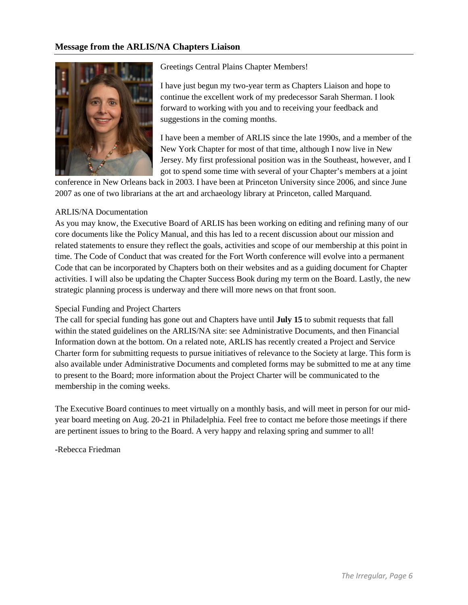### **Message from the ARLIS/NA Chapters Liaison**



Greetings Central Plains Chapter Members!

I have just begun my two-year term as Chapters Liaison and hope to continue the excellent work of my predecessor Sarah Sherman. I look forward to working with you and to receiving your feedback and suggestions in the coming months.

I have been a member of ARLIS since the late 1990s, and a member of the New York Chapter for most of that time, although I now live in New Jersey. My first professional position was in the Southeast, however, and I got to spend some time with several of your Chapter's members at a joint

conference in New Orleans back in 2003. I have been at Princeton University since 2006, and since June 2007 as one of two librarians at the art and archaeology library at Princeton, called Marquand.

#### ARLIS/NA Documentation

As you may know, the Executive Board of ARLIS has been working on editing and refining many of our core documents like the Policy Manual, and this has led to a recent discussion about our mission and related statements to ensure they reflect the goals, activities and scope of our membership at this point in time. The Code of Conduct that was created for the Fort Worth conference will evolve into a permanent Code that can be incorporated by Chapters both on their websites and as a guiding document for Chapter activities. I will also be updating the Chapter Success Book during my term on the Board. Lastly, the new strategic planning process is underway and there will more news on that front soon.

#### Special Funding and Project Charters

The call for special funding has gone out and Chapters have until **July 15** to submit requests that fall within the stated guidelines on the ARLIS/NA site: see Administrative Documents, and then Financial Information down at the bottom. On a related note, ARLIS has recently created a Project and Service Charter form for submitting requests to pursue initiatives of relevance to the Society at large. This form is also available under Administrative Documents and completed forms may be submitted to me at any time to present to the Board; more information about the Project Charter will be communicated to the membership in the coming weeks.

The Executive Board continues to meet virtually on a monthly basis, and will meet in person for our midyear board meeting on Aug. 20-21 in Philadelphia. Feel free to contact me before those meetings if there are pertinent issues to bring to the Board. A very happy and relaxing spring and summer to all!

-Rebecca Friedman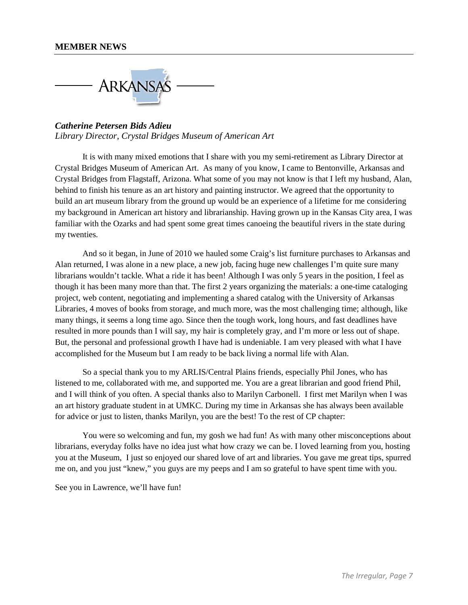

### *Catherine Petersen Bids Adieu Library Director, Crystal Bridges Museum of American Art*

It is with many mixed emotions that I share with you my semi-retirement as Library Director at Crystal Bridges Museum of American Art. As many of you know, I came to Bentonville, Arkansas and Crystal Bridges from Flagstaff, Arizona. What some of you may not know is that I left my husband, Alan, behind to finish his tenure as an art history and painting instructor. We agreed that the opportunity to build an art museum library from the ground up would be an experience of a lifetime for me considering my background in American art history and librarianship. Having grown up in the Kansas City area, I was familiar with the Ozarks and had spent some great times canoeing the beautiful rivers in the state during my twenties.

And so it began, in June of 2010 we hauled some Craig's list furniture purchases to Arkansas and Alan returned, I was alone in a new place, a new job, facing huge new challenges I'm quite sure many librarians wouldn't tackle. What a ride it has been! Although I was only 5 years in the position, I feel as though it has been many more than that. The first 2 years organizing the materials: a one-time cataloging project, web content, negotiating and implementing a shared catalog with the University of Arkansas Libraries, 4 moves of books from storage, and much more, was the most challenging time; although, like many things, it seems a long time ago. Since then the tough work, long hours, and fast deadlines have resulted in more pounds than I will say, my hair is completely gray, and I'm more or less out of shape. But, the personal and professional growth I have had is undeniable. I am very pleased with what I have accomplished for the Museum but I am ready to be back living a normal life with Alan.

So a special thank you to my ARLIS/Central Plains friends, especially Phil Jones, who has listened to me, collaborated with me, and supported me. You are a great librarian and good friend Phil, and I will think of you often. A special thanks also to Marilyn Carbonell. I first met Marilyn when I was an art history graduate student in at UMKC. During my time in Arkansas she has always been available for advice or just to listen, thanks Marilyn, you are the best! To the rest of CP chapter:

You were so welcoming and fun, my gosh we had fun! As with many other misconceptions about librarians, everyday folks have no idea just what how crazy we can be. I loved learning from you, hosting you at the Museum, I just so enjoyed our shared love of art and libraries. You gave me great tips, spurred me on, and you just "knew," you guys are my peeps and I am so grateful to have spent time with you.

See you in Lawrence, we'll have fun!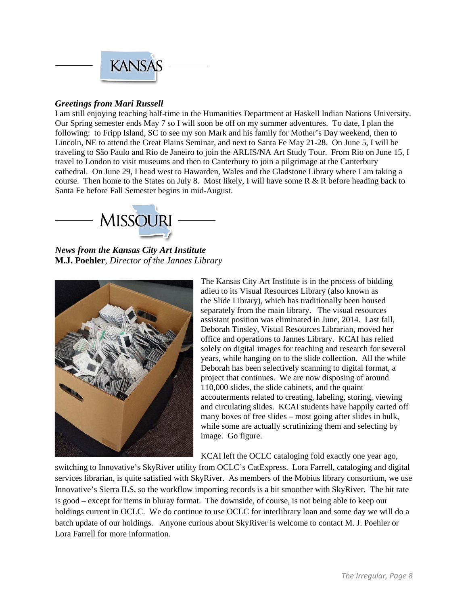

## *Greetings from Mari Russell*

I am still enjoying teaching half-time in the Humanities Department at Haskell Indian Nations University. Our Spring semester ends May 7 so I will soon be off on my summer adventures. To date, I plan the following: to Fripp Island, SC to see my son Mark and his family for Mother's Day weekend, then to Lincoln, NE to attend the Great Plains Seminar, and next to Santa Fe May 21-28. On June 5, I will be traveling to São Paulo and Rio de Janeiro to join the ARLIS/NA Art Study Tour. From Rio on June 15, I travel to London to visit museums and then to Canterbury to join a pilgrimage at the Canterbury cathedral. On June 29, I head west to Hawarden, Wales and the Gladstone Library where I am taking a course. Then home to the States on July 8. Most likely, I will have some R & R before heading back to Santa Fe before Fall Semester begins in mid-August.



*News from the Kansas City Art Institute* **M.J. Poehler**, *Director of the Jannes Library*



The Kansas City Art Institute is in the process of bidding adieu to its Visual Resources Library (also known as the Slide Library), which has traditionally been housed separately from the main library. The visual resources assistant position was eliminated in June, 2014. Last fall, Deborah Tinsley, Visual Resources Librarian, moved her office and operations to Jannes Library. KCAI has relied solely on digital images for teaching and research for several years, while hanging on to the slide collection. All the while Deborah has been selectively scanning to digital format, a project that continues. We are now disposing of around 110,000 slides, the slide cabinets, and the quaint accouterments related to creating, labeling, storing, viewing and circulating slides. KCAI students have happily carted off many boxes of free slides – most going after slides in bulk, while some are actually scrutinizing them and selecting by image. Go figure.

KCAI left the OCLC cataloging fold exactly one year ago,

switching to Innovative's SkyRiver utility from OCLC's CatExpress. Lora Farrell, cataloging and digital services librarian, is quite satisfied with SkyRiver. As members of the Mobius library consortium, we use Innovative's Sierra ILS, so the workflow importing records is a bit smoother with SkyRiver. The hit rate is good – except for items in bluray format. The downside, of course, is not being able to keep our holdings current in OCLC. We do continue to use OCLC for interlibrary loan and some day we will do a batch update of our holdings. Anyone curious about SkyRiver is welcome to contact M. J. Poehler or Lora Farrell for more information.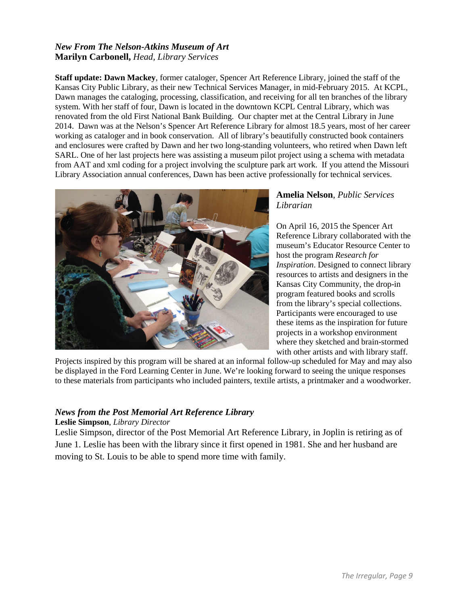## *New From The Nelson-Atkins Museum of Art* **Marilyn Carbonell,** *Head, Library Services*

**Staff update: Dawn Mackey**, former cataloger, Spencer Art Reference Library, joined the staff of the Kansas City Public Library, as their new Technical Services Manager, in mid-February 2015. At KCPL, Dawn manages the cataloging, processing, classification, and receiving for all ten branches of the library system. With her staff of four, Dawn is located in the downtown KCPL Central Library, which was renovated from the old First National Bank Building. Our chapter met at the Central Library in June 2014. Dawn was at the Nelson's Spencer Art Reference Library for almost 18.5 years, most of her career working as cataloger and in book conservation. All of library's beautifully constructed book containers and enclosures were crafted by Dawn and her two long-standing volunteers, who retired when Dawn left SARL. One of her last projects here was assisting a museum pilot project using a schema with metadata from AAT and xml coding for a project involving the sculpture park art work. If you attend the Missouri Library Association annual conferences, Dawn has been active professionally for technical services.



## **Amelia Nelson**, *Public Services Librarian*

On April 16, 2015 the Spencer Art Reference Library collaborated with the museum's Educator Resource Center to host the program *Research for Inspiration*. Designed to connect library resources to artists and designers in the Kansas City Community, the drop-in program featured books and scrolls from the library's special collections. Participants were encouraged to use these items as the inspiration for future projects in a workshop environment where they sketched and brain-stormed with other artists and with library staff.

Projects inspired by this program will be shared at an informal follow-up scheduled for May and may also be displayed in the Ford Learning Center in June. We're looking forward to seeing the unique responses to these materials from participants who included painters, textile artists, a printmaker and a woodworker.

## *News from the Post Memorial Art Reference Library*

#### **Leslie Simpson**, *Library Director*

Leslie Simpson, director of the Post Memorial Art Reference Library, in Joplin is retiring as of June 1. Leslie has been with the library since it first opened in 1981. She and her husband are moving to St. Louis to be able to spend more time with family.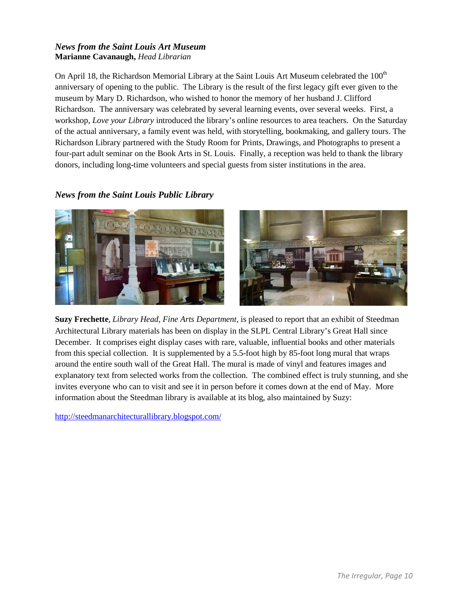## *News from the Saint Louis Art Museum* **Marianne Cavanaugh,** *Head Librarian*

On April 18, the Richardson Memorial Library at the Saint Louis Art Museum celebrated the 100<sup>th</sup> anniversary of opening to the public. The Library is the result of the first legacy gift ever given to the museum by Mary D. Richardson, who wished to honor the memory of her husband J. Clifford Richardson. The anniversary was celebrated by several learning events, over several weeks. First, a workshop, *Love your Library* introduced the library's online resources to area teachers. On the Saturday of the actual anniversary, a family event was held, with storytelling, bookmaking, and gallery tours. The Richardson Library partnered with the Study Room for Prints, Drawings, and Photographs to present a four-part adult seminar on the Book Arts in St. Louis. Finally, a reception was held to thank the library donors, including long-time volunteers and special guests from sister institutions in the area.

## *News from the Saint Louis Public Library*



**Suzy Frechette**, *Library Head, Fine Arts Department*, is pleased to report that an exhibit of Steedman Architectural Library materials has been on display in the SLPL Central Library's Great Hall since December. It comprises eight display cases with rare, valuable, influential books and other materials from this special collection. It is supplemented by a 5.5-foot high by 85-foot long mural that wraps around the entire south wall of the Great Hall. The mural is made of vinyl and features images and explanatory text from selected works from the collection. The combined effect is truly stunning, and she invites everyone who can to visit and see it in person before it comes down at the end of May. More information about the Steedman library is available at its blog, also maintained by Suzy:

<http://steedmanarchitecturallibrary.blogspot.com/>